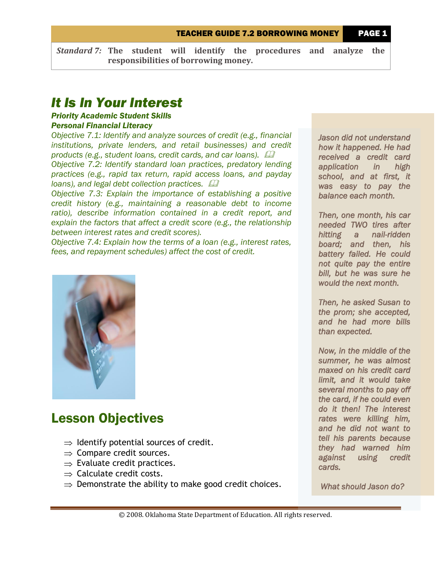TEACHER GUIDE 7.2 BORROWING MONEY PAGE 1

*Standard 7:* **The student will identify the procedures and analyze the responsibilities of borrowing money.**

### *It Is In Your Interest*

### *Priority Academic Student Skills*

#### *Personal Financial Literacy*

*Objective 7.1: Identify and analyze sources of credit (e.g., financial institutions, private lenders, and retail businesses) and credit products (e.g., student loans, credit cards, and car loans). Objective 7.2: Identify standard loan practices, predatory lending practices (e.g., rapid tax return, rapid access loans, and payday loans), and legal debt collection practices.* 

*Objective 7.3: Explain the importance of establishing a positive credit history (e.g., maintaining a reasonable debt to income ratio), describe information contained in a credit report, and explain the factors that affect a credit score (e.g., the relationship between interest rates and credit scores).*

*Objective 7.4: Explain how the terms of a loan (e.g., interest rates, fees, and repayment schedules) affect the cost of credit.*



## Lesson Objectives

- $\Rightarrow$  Identify potential sources of credit.
- $\Rightarrow$  Compare credit sources.
- $\Rightarrow$  Evaluate credit practices.
- $\Rightarrow$  Calculate credit costs.
- $\Rightarrow$  Demonstrate the ability to make good credit choices.

*Jason did not understand how it happened. He had received a credit card application in high school, and at first, it was easy to pay the balance each month.* 

*Then, one month, his car needed TWO tires after hitting a nail-ridden board; and then, his battery failed. He could not quite pay the entire bill, but he was sure he would the next month.* 

*Then, he asked Susan to the prom; she accepted, and he had more bills than expected.* 

*Now, in the middle of the summer, he was almost maxed on his credit card limit, and it would take several months to pay off the card, if he could even do it then! The interest rates were killing him, and he did not want to tell his parents because they had warned him against using credit cards.* 

 *What should Jason do?*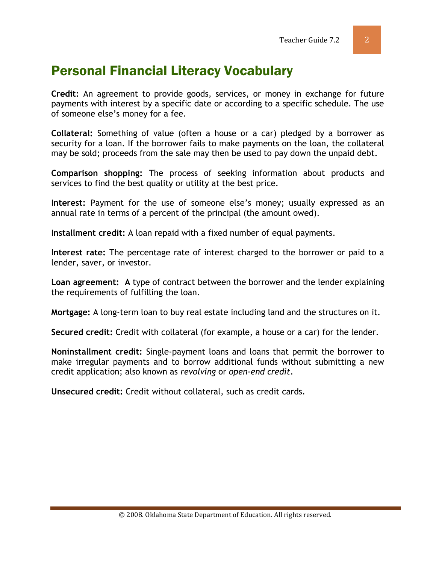# Personal Financial Literacy Vocabulary

**Credit:** An agreement to provide goods, services, or money in exchange for future payments with interest by a specific date or according to a specific schedule. The use of someone else's money for a fee.

**Collateral:** Something of value (often a house or a car) pledged by a borrower as security for a loan. If the borrower fails to make payments on the loan, the collateral may be sold; proceeds from the sale may then be used to pay down the unpaid debt.

**Comparison shopping:** The process of seeking information about products and services to find the best quality or utility at the best price.

**Interest:** Payment for the use of someone else's money; usually expressed as an annual rate in terms of a percent of the principal (the amount owed).

**Installment credit:** A loan repaid with a fixed number of equal [payments.](http://www.investorwords.com/3634/payment.html)

**Interest rate:** The percentage rate of interest charged to the borrower or paid to a lender, saver, or investor.

**Loan agreement: A** type of contract between the borrower and the lender explaining the requirements of fulfilling the loan.

**Mortgage:** A long-term loan to buy real estate including land and the structures on it.

**Secured credit:** Credit with collateral (for example, a house or a car) for the lender.

**Noninstallment credit:** Single-payment loans and loans that permit the borrower to make irregular payments and to borrow additional funds without submitting a new credit application; also known as *revolving* or *open-end credit*.

**Unsecured credit:** Credit without collateral, such as credit cards.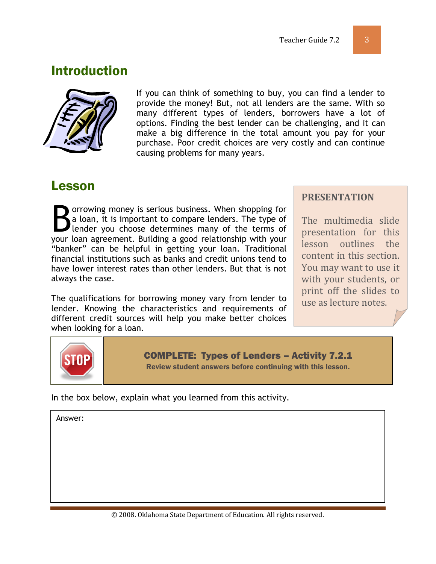## Introduction



If you can think of something to buy, you can find a lender to provide the money! But, not all lenders are the same. With so many different types of lenders, borrowers have a lot of options. Finding the best lender can be challenging, and it can make a big difference in the total amount you pay for your purchase. Poor credit choices are very costly and can continue causing problems for many years.

### Lesson

orrowing money is serious business. When shopping for a loan, it is important to compare lenders. The type of lender you choose determines many of the terms of Sorrowing money is serious business. When shopping for a loan, it is important to compare lenders. The type of lender you choose determines many of the terms of your loan agreement. Building a good relationship with your "banker" can be helpful in getting your loan. Traditional financial institutions such as banks and credit unions tend to have lower interest rates than other lenders. But that is not always the case.

The qualifications for borrowing money vary from lender to lender. Knowing the characteristics and requirements of different credit sources will help you make better choices when looking for a loan.

#### **PRESENTATION**

The multimedia slide presentation for this lesson outlines the content in this section. You may want to use it with your students, or print off the slides to use as lecture notes.



COMPLETE: Types of Lenders – Activity 7.2.1 Review student answers before continuing with this lesson.

In the box below, explain what you learned from this activity.

Answer: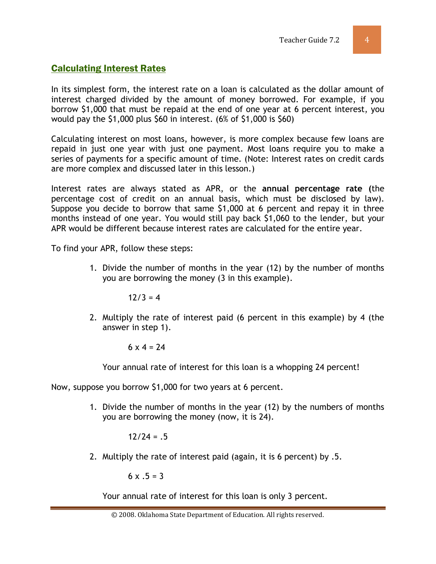#### Calculating Interest Rates

In its simplest form, the interest rate on a loan is calculated as the dollar amount of interest charged divided by the amount of money borrowed. For example, if you borrow \$1,000 that must be repaid at the end of one year at 6 percent interest, you would pay the \$1,000 plus \$60 in interest. (6% of \$1,000 is \$60)

Calculating interest on most loans, however, is more complex because few loans are repaid in just one year with just one payment. Most loans require you to make a series of payments for a specific amount of time. (Note: Interest rates on credit cards are more complex and discussed later in this lesson.)

Interest rates are always stated as APR, or the **annual percentage rate (**the percentage cost of credit on an annual basis, which must be disclosed by law). Suppose you decide to borrow that same \$1,000 at 6 percent and repay it in three months instead of one year. You would still pay back \$1,060 to the lender, but your APR would be different because interest rates are calculated for the entire year.

To find your APR, follow these steps:

1. Divide the number of months in the year (12) by the number of months you are borrowing the money (3 in this example).

 $12/3 = 4$ 

2. Multiply the rate of interest paid (6 percent in this example) by 4 (the answer in step 1).

$$
6 \times 4 = 24
$$

Your annual rate of interest for this loan is a whopping 24 percent!

Now, suppose you borrow \$1,000 for two years at 6 percent.

1. Divide the number of months in the year (12) by the numbers of months you are borrowing the money (now, it is 24).

 $12/24 = 5$ 

2. Multiply the rate of interest paid (again, it is 6 percent) by .5.

 $6 \times .5 = 3$ 

Your annual rate of interest for this loan is only 3 percent.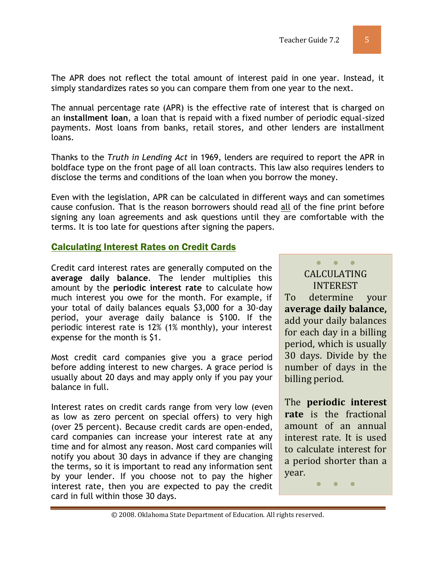The APR does not reflect the total amount of interest paid in one year. Instead, it simply standardizes rates so you can compare them from one year to the next.

The annual percentage rate (APR) is the effective rate of interest that is charged on an **installment loan**, a loan that is repaid with a fixed number of periodic equal-sized payments. Most loans from banks, retail stores, and other lenders are installment loans.

Thanks to the *Truth in Lending Act* in 1969, lenders are required to report the APR in boldface type on the front page of all loan contracts. This law also requires lenders to disclose the terms and conditions of the loan when you borrow the money.

Even with the legislation, APR can be calculated in different ways and can sometimes cause confusion. That is the reason borrowers should read all of the fine print before signing any loan agreements and ask questions until they are comfortable with the terms. It is too late for questions after signing the papers.

#### Calculating Interest Rates on Credit Cards

Credit card interest rates are generally computed on the **average daily balance**. The lender multiplies this amount by the **periodic interest rate** to calculate how much interest you owe for the month. For example, if your total of daily balances equals \$3,000 for a 30-day period, your average daily balance is \$100. If the periodic interest rate is 12% (1% monthly), your interest expense for the month is \$1.

Most credit card companies give you a grace period before adding interest to new charges. A grace period is usually about 20 days and may apply only if you pay your balance in full.

Interest rates on credit cards range from very low (even as low as zero percent on special offers) to very high (over 25 percent). Because credit cards are open-ended, card companies can increase your interest rate at any time and for almost any reason. Most card companies will notify you about 30 days in advance if they are changing the terms, so it is important to read any information sent by your lender. If you choose not to pay the higher interest rate, then you are expected to pay the credit card in full within those 30 days.

CALCULATING INTEREST To determine your **average daily balance,** add your daily balances for each day in a billing period, which is usually 30 days. Divide by the number of days in the billing period.

● ● ●

The **periodic interest rate** is the fractional amount of an annual interest rate. It is used to calculate interest for a period shorter than a year.

● ● ●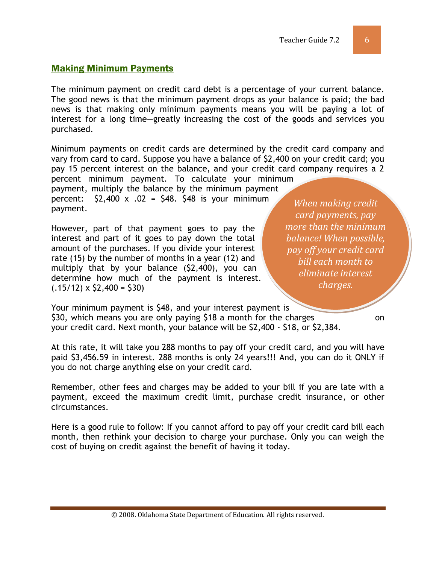#### Making Minimum Payments

The minimum payment on credit card debt is a percentage of your current balance. The good news is that the minimum payment drops as your balance is paid; the bad news is that making only minimum payments means you will be paying a lot of interest for a long time—greatly increasing the cost of the goods and services you purchased.

Minimum payments on credit cards are determined by the credit card company and vary from card to card. Suppose you have a balance of \$2,400 on your credit card; you pay 15 percent interest on the balance, and your credit card company requires a 2

percent minimum payment. To calculate your minimum payment, multiply the balance by the minimum payment percent:  $$2,400 \times .02 = $48$ . \$48 is your minimum payment.

However, part of that payment goes to pay the interest and part of it goes to pay down the total amount of the purchases. If you divide your interest rate (15) by the number of months in a year (12) and multiply that by your balance (\$2,400), you can determine how much of the payment is interest.  $(.15/12) \times $2,400 = $30$ 

*When making credit card payments, pay more than the minimum balance! When possible, pay off your credit card bill each month to eliminate interest charges.*

Your minimum payment is \$48, and your interest payment is \$30, which means you are only paying \$18 a month for the charges on your credit card. Next month, your balance will be \$2,400 - \$18, or \$2,384.

At this rate, it will take you 288 months to pay off your credit card, and you will have paid \$3,456.59 in interest. 288 months is only 24 years!!! And, you can do it ONLY if you do not charge anything else on your credit card.

Remember, other fees and charges may be added to your bill if you are late with a payment, exceed the maximum credit limit, purchase credit insurance, or other circumstances.

Here is a good rule to follow: If you cannot afford to pay off your credit card bill each month, then rethink your decision to charge your purchase. Only you can weigh the cost of buying on credit against the benefit of having it today.

© 2008. Oklahoma State Department of Education. All rights reserved.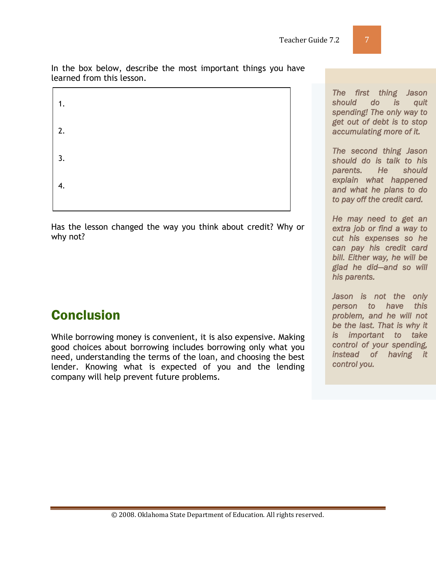In the box below, describe the most important things you have learned from this lesson.



Has the lesson changed the way you think about credit? Why or why not?

# Conclusion

While borrowing money is convenient, it is also expensive. Making good choices about borrowing includes borrowing only what you need, understanding the terms of the loan, and choosing the best lender. Knowing what is expected of you and the lending company will help prevent future problems.

*The first thing Jason should do is quit spending! The only way to get out of debt is to stop accumulating more of it.* 

*The second thing Jason should do is talk to his parents. He should explain what happened and what he plans to do to pay off the credit card.* 

*He may need to get an extra job or find a way to cut his expenses so he can pay his credit card bill. Either way, he will be glad he did—and so will his parents.* 

*Jason is not the only person to have this problem, and he will not be the last. That is why it is important to take control of your spending, instead of having it control you.*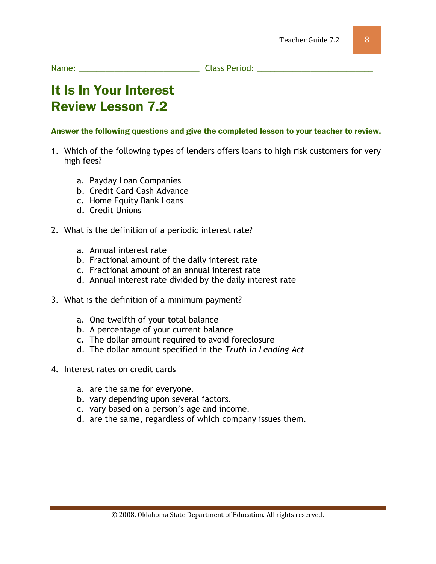Name: The contract of the Class Period:  $\Box$  Class Period:  $\Box$  and  $\Box$  and  $\Box$  and  $\Box$  and  $\Box$  and  $\Box$  and  $\Box$  and  $\Box$  and  $\Box$  and  $\Box$  and  $\Box$  and  $\Box$  and  $\Box$  and  $\Box$  and  $\Box$  and  $\Box$  and  $\Box$  and  $\Box$  and

# It Is In Your Interest Review Lesson 7.2

#### Answer the following questions and give the completed lesson to your teacher to review.

- 1. Which of the following types of lenders offers loans to high risk customers for very high fees?
	- a. Payday Loan Companies
	- b. Credit Card Cash Advance
	- c. Home Equity Bank Loans
	- d. Credit Unions
- 2. What is the definition of a periodic interest rate?
	- a. Annual interest rate
	- b. Fractional amount of the daily interest rate
	- c. Fractional amount of an annual interest rate
	- d. Annual interest rate divided by the daily interest rate
- 3. What is the definition of a minimum payment?
	- a. One twelfth of your total balance
	- b. A percentage of your current balance
	- c. The dollar amount required to avoid foreclosure
	- d. The dollar amount specified in the *Truth in Lending Act*
- 4. Interest rates on credit cards
	- a. are the same for everyone.
	- b. vary depending upon several factors.
	- c. vary based on a person's age and income.
	- d. are the same, regardless of which company issues them.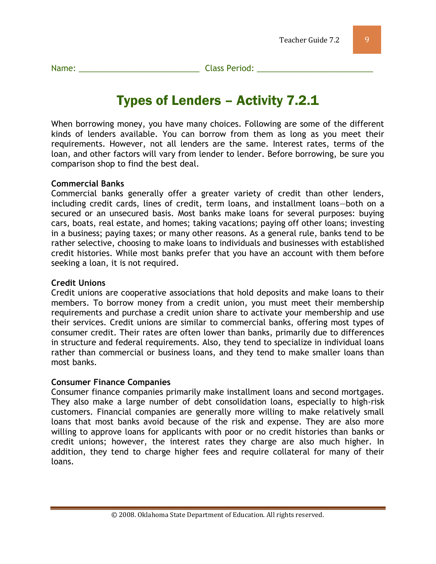Name: \_\_\_\_\_\_\_\_\_\_\_\_\_\_\_\_\_\_\_\_\_\_\_\_\_\_\_ Class Period: \_\_\_\_\_\_\_\_\_\_\_\_\_\_\_\_\_\_\_\_\_\_\_\_\_\_

# Types of Lenders – Activity 7.2.1

When borrowing money, you have many choices. Following are some of the different kinds of lenders available. You can borrow from them as long as you meet their requirements. However, not all lenders are the same. Interest rates, terms of the loan, and other factors will vary from lender to lender. Before borrowing, be sure you comparison shop to find the best deal.

#### **Commercial Banks**

Commercial banks generally offer a greater variety of credit than other lenders, including credit cards, lines of credit, term loans, and installment loans—both on a secured or an unsecured basis. Most banks make loans for several purposes: buying cars, boats, real estate, and homes; taking vacations; paying off other loans; investing in a business; paying taxes; or many other reasons. As a general rule, banks tend to be rather selective, choosing to make loans to individuals and businesses with established credit histories. While most banks prefer that you have an account with them before seeking a loan, it is not required.

#### **Credit Unions**

Credit unions are cooperative associations that hold deposits and make loans to their members. To borrow money from a credit union, you must meet their membership requirements and purchase a credit union share to activate your membership and use their services. Credit unions are similar to commercial banks, offering most types of consumer credit. Their rates are often lower than banks, primarily due to differences in structure and federal requirements. Also, they tend to specialize in individual loans rather than commercial or business loans, and they tend to make smaller loans than most banks.

#### **Consumer Finance Companies**

Consumer finance companies primarily make installment loans and second mortgages. They also make a large number of debt consolidation loans, especially to high-risk customers. Financial companies are generally more willing to make relatively small loans that most banks avoid because of the risk and expense. They are also more willing to approve loans for applicants with poor or no credit histories than banks or credit unions; however, the interest rates they charge are also much higher. In addition, they tend to charge higher fees and require collateral for many of their loans.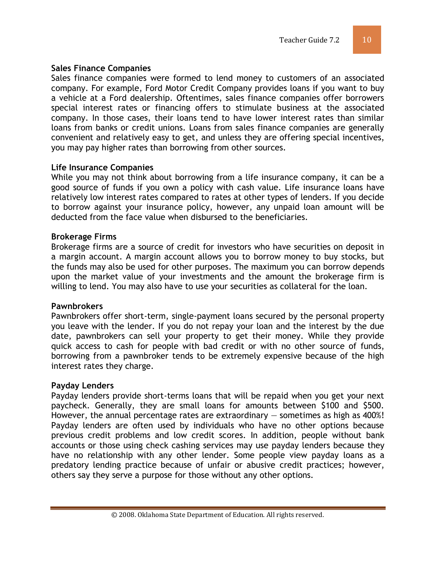#### **Sales Finance Companies**

Sales finance companies were formed to lend money to customers of an associated company. For example, Ford Motor Credit Company provides loans if you want to buy a vehicle at a Ford dealership. Oftentimes, sales finance companies offer borrowers special interest rates or financing offers to stimulate business at the associated company. In those cases, their loans tend to have lower interest rates than similar loans from banks or credit unions. Loans from sales finance companies are generally convenient and relatively easy to get, and unless they are offering special incentives, you may pay higher rates than borrowing from other sources.

#### **Life Insurance Companies**

While you may not think about borrowing from a life insurance company, it can be a good source of funds if you own a policy with cash value. Life insurance loans have relatively low interest rates compared to rates at other types of lenders. If you decide to borrow against your insurance policy, however, any unpaid loan amount will be deducted from the face value when disbursed to the beneficiaries.

#### **Brokerage Firms**

Brokerage firms are a source of credit for investors who have securities on deposit in a margin account. A margin account allows you to borrow money to buy stocks, but the funds may also be used for other purposes. The maximum you can borrow depends upon the market value of your investments and the amount the brokerage firm is willing to lend. You may also have to use your securities as collateral for the loan.

#### **Pawnbrokers**

Pawnbrokers offer short-term, single-payment loans secured by the personal property you leave with the lender. If you do not repay your loan and the interest by the due date, pawnbrokers can sell your property to get their money. While they provide quick access to cash for people with bad credit or with no other source of funds, borrowing from a pawnbroker tends to be extremely expensive because of the high interest rates they charge.

#### **Payday Lenders**

Payday lenders provide short-terms loans that will be repaid when you get your next paycheck. Generally, they are small loans for amounts between \$100 and \$500. However, the annual percentage rates are extraordinary — sometimes as high as 400%! Payday lenders are often used by individuals who have no other options because previous credit problems and low credit scores. In addition, people without bank accounts or those using check cashing services may use payday lenders because they have no relationship with any other lender. Some people view payday loans as a predatory lending practice because of unfair or abusive credit practices; however, others say they serve a purpose for those without any other options.